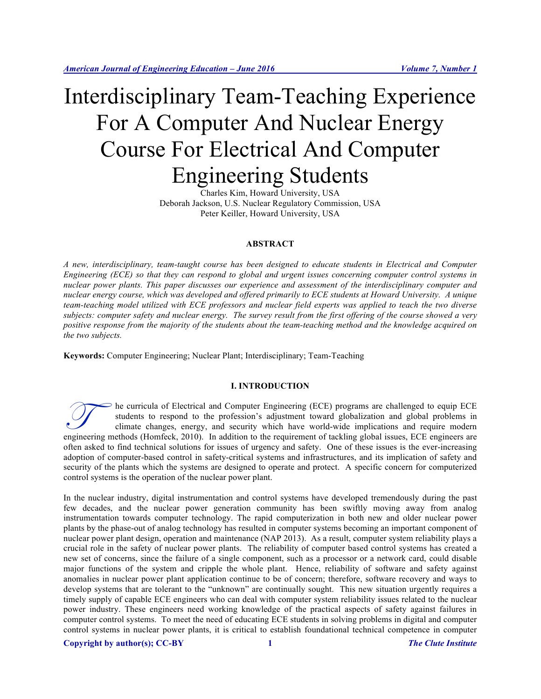# Interdisciplinary Team-Teaching Experience For A Computer And Nuclear Energy Course For Electrical And Computer Engineering Students

Charles Kim, Howard University, USA Deborah Jackson, U.S. Nuclear Regulatory Commission, USA Peter Keiller, Howard University, USA

#### **ABSTRACT**

*A new, interdisciplinary, team-taught course has been designed to educate students in Electrical and Computer Engineering (ECE) so that they can respond to global and urgent issues concerning computer control systems in nuclear power plants. This paper discusses our experience and assessment of the interdisciplinary computer and nuclear energy course, which was developed and offered primarily to ECE students at Howard University. A unique team-teaching model utilized with ECE professors and nuclear field experts was applied to teach the two diverse subjects: computer safety and nuclear energy. The survey result from the first offering of the course showed a very positive response from the majority of the students about the team-teaching method and the knowledge acquired on the two subjects.*

**Keywords:** Computer Engineering; Nuclear Plant; Interdisciplinary; Team-Teaching

#### **I. INTRODUCTION**

he curricula of Electrical and Computer Engineering (ECE) programs are challenged to equip ECE students to respond to the profession's adjustment toward globalization and global problems in climate changes, energy, and security which have world-wide implications and require modern engineering (ECE) programs are challenged to equip ECE<br>students to respond to the profession's adjustment toward globalization and global problems in<br>climate changes, energy, and security which have world-wide implications often asked to find technical solutions for issues of urgency and safety. One of these issues is the ever-increasing adoption of computer-based control in safety-critical systems and infrastructures, and its implication of safety and security of the plants which the systems are designed to operate and protect. A specific concern for computerized control systems is the operation of the nuclear power plant.

In the nuclear industry, digital instrumentation and control systems have developed tremendously during the past few decades, and the nuclear power generation community has been swiftly moving away from analog instrumentation towards computer technology. The rapid computerization in both new and older nuclear power plants by the phase-out of analog technology has resulted in computer systems becoming an important component of nuclear power plant design, operation and maintenance (NAP 2013). As a result, computer system reliability plays a crucial role in the safety of nuclear power plants. The reliability of computer based control systems has created a new set of concerns, since the failure of a single component, such as a processor or a network card, could disable major functions of the system and cripple the whole plant. Hence, reliability of software and safety against anomalies in nuclear power plant application continue to be of concern; therefore, software recovery and ways to develop systems that are tolerant to the "unknown" are continually sought. This new situation urgently requires a timely supply of capable ECE engineers who can deal with computer system reliability issues related to the nuclear power industry. These engineers need working knowledge of the practical aspects of safety against failures in computer control systems. To meet the need of educating ECE students in solving problems in digital and computer control systems in nuclear power plants, it is critical to establish foundational technical competence in computer

#### **Copyright by author(s); CC-BY 1** *The Clute Institute*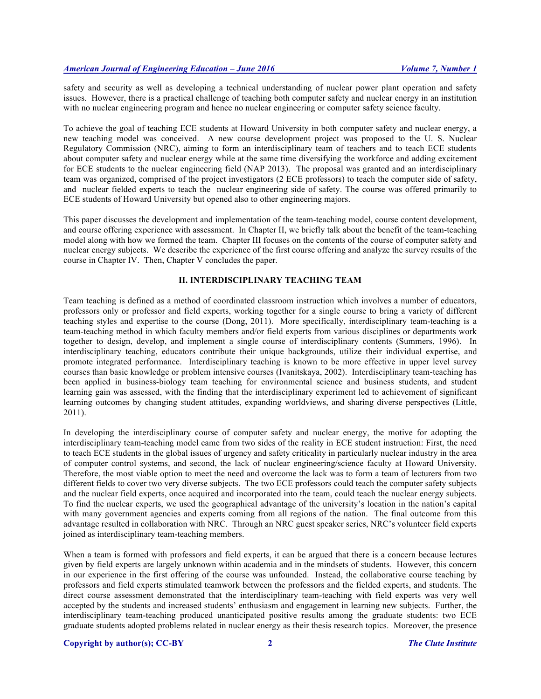safety and security as well as developing a technical understanding of nuclear power plant operation and safety issues. However, there is a practical challenge of teaching both computer safety and nuclear energy in an institution with no nuclear engineering program and hence no nuclear engineering or computer safety science faculty.

To achieve the goal of teaching ECE students at Howard University in both computer safety and nuclear energy, a new teaching model was conceived. A new course development project was proposed to the U. S. Nuclear Regulatory Commission (NRC), aiming to form an interdisciplinary team of teachers and to teach ECE students about computer safety and nuclear energy while at the same time diversifying the workforce and adding excitement for ECE students to the nuclear engineering field (NAP 2013). The proposal was granted and an interdisciplinary team was organized, comprised of the project investigators (2 ECE professors) to teach the computer side of safety, and nuclear fielded experts to teach the nuclear engineering side of safety. The course was offered primarily to ECE students of Howard University but opened also to other engineering majors.

This paper discusses the development and implementation of the team-teaching model, course content development, and course offering experience with assessment. In Chapter II, we briefly talk about the benefit of the team-teaching model along with how we formed the team. Chapter III focuses on the contents of the course of computer safety and nuclear energy subjects. We describe the experience of the first course offering and analyze the survey results of the course in Chapter IV. Then, Chapter V concludes the paper.

#### **II. INTERDISCIPLINARY TEACHING TEAM**

Team teaching is defined as a method of coordinated classroom instruction which involves a number of educators, professors only or professor and field experts, working together for a single course to bring a variety of different teaching styles and expertise to the course (Dong, 2011). More specifically, interdisciplinary team-teaching is a team-teaching method in which faculty members and/or field experts from various disciplines or departments work together to design, develop, and implement a single course of interdisciplinary contents (Summers, 1996). In interdisciplinary teaching, educators contribute their unique backgrounds, utilize their individual expertise, and promote integrated performance. Interdisciplinary teaching is known to be more effective in upper level survey courses than basic knowledge or problem intensive courses (Ivanitskaya, 2002). Interdisciplinary team-teaching has been applied in business-biology team teaching for environmental science and business students, and student learning gain was assessed, with the finding that the interdisciplinary experiment led to achievement of significant learning outcomes by changing student attitudes, expanding worldviews, and sharing diverse perspectives (Little, 2011).

In developing the interdisciplinary course of computer safety and nuclear energy, the motive for adopting the interdisciplinary team-teaching model came from two sides of the reality in ECE student instruction: First, the need to teach ECE students in the global issues of urgency and safety criticality in particularly nuclear industry in the area of computer control systems, and second, the lack of nuclear engineering/science faculty at Howard University. Therefore, the most viable option to meet the need and overcome the lack was to form a team of lecturers from two different fields to cover two very diverse subjects. The two ECE professors could teach the computer safety subjects and the nuclear field experts, once acquired and incorporated into the team, could teach the nuclear energy subjects. To find the nuclear experts, we used the geographical advantage of the university's location in the nation's capital with many government agencies and experts coming from all regions of the nation. The final outcome from this advantage resulted in collaboration with NRC. Through an NRC guest speaker series, NRC's volunteer field experts joined as interdisciplinary team-teaching members.

When a team is formed with professors and field experts, it can be argued that there is a concern because lectures given by field experts are largely unknown within academia and in the mindsets of students. However, this concern in our experience in the first offering of the course was unfounded. Instead, the collaborative course teaching by professors and field experts stimulated teamwork between the professors and the fielded experts, and students. The direct course assessment demonstrated that the interdisciplinary team-teaching with field experts was very well accepted by the students and increased students' enthusiasm and engagement in learning new subjects. Further, the interdisciplinary team-teaching produced unanticipated positive results among the graduate students: two ECE graduate students adopted problems related in nuclear energy as their thesis research topics. Moreover, the presence

#### **Copyright by author(s); CC-BY 2** *The Clute Institute*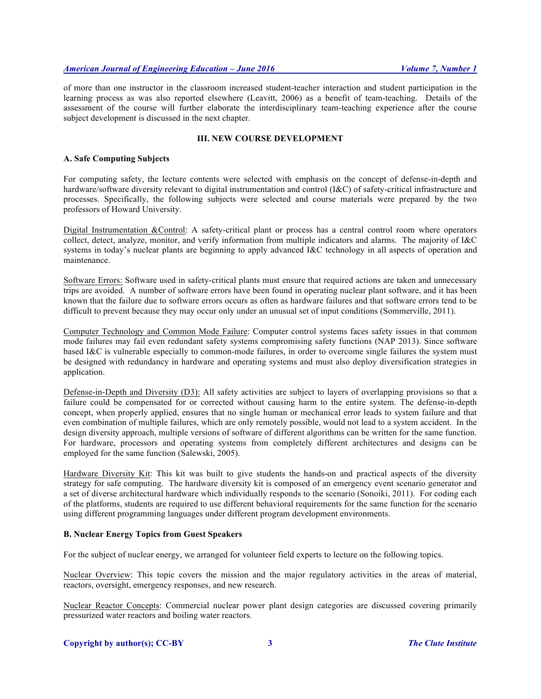### *American Journal of Engineering Education – June 2016 Volume 7, Number 1*

of more than one instructor in the classroom increased student-teacher interaction and student participation in the learning process as was also reported elsewhere (Leavitt, 2006) as a benefit of team-teaching. Details of the assessment of the course will further elaborate the interdisciplinary team-teaching experience after the course subject development is discussed in the next chapter.

#### **III. NEW COURSE DEVELOPMENT**

#### **A. Safe Computing Subjects**

For computing safety, the lecture contents were selected with emphasis on the concept of defense-in-depth and hardware/software diversity relevant to digital instrumentation and control (I&C) of safety-critical infrastructure and processes. Specifically, the following subjects were selected and course materials were prepared by the two professors of Howard University.

Digital Instrumentation &Control: A safety-critical plant or process has a central control room where operators collect, detect, analyze, monitor, and verify information from multiple indicators and alarms. The majority of I&C systems in today's nuclear plants are beginning to apply advanced I&C technology in all aspects of operation and maintenance.

Software Errors: Software used in safety-critical plants must ensure that required actions are taken and unnecessary trips are avoided. A number of software errors have been found in operating nuclear plant software, and it has been known that the failure due to software errors occurs as often as hardware failures and that software errors tend to be difficult to prevent because they may occur only under an unusual set of input conditions (Sommerville, 2011).

Computer Technology and Common Mode Failure: Computer control systems faces safety issues in that common mode failures may fail even redundant safety systems compromising safety functions (NAP 2013). Since software based I&C is vulnerable especially to common-mode failures, in order to overcome single failures the system must be designed with redundancy in hardware and operating systems and must also deploy diversification strategies in application.

Defense-in-Depth and Diversity (D3): All safety activities are subject to layers of overlapping provisions so that a failure could be compensated for or corrected without causing harm to the entire system. The defense-in-depth concept, when properly applied, ensures that no single human or mechanical error leads to system failure and that even combination of multiple failures, which are only remotely possible, would not lead to a system accident. In the design diversity approach, multiple versions of software of different algorithms can be written for the same function. For hardware, processors and operating systems from completely different architectures and designs can be employed for the same function (Salewski, 2005).

Hardware Diversity Kit: This kit was built to give students the hands-on and practical aspects of the diversity strategy for safe computing. The hardware diversity kit is composed of an emergency event scenario generator and a set of diverse architectural hardware which individually responds to the scenario (Sonoiki, 2011). For coding each of the platforms, students are required to use different behavioral requirements for the same function for the scenario using different programming languages under different program development environments.

#### **B. Nuclear Energy Topics from Guest Speakers**

For the subject of nuclear energy, we arranged for volunteer field experts to lecture on the following topics.

Nuclear Overview: This topic covers the mission and the major regulatory activities in the areas of material, reactors, oversight, emergency responses, and new research.

Nuclear Reactor Concepts: Commercial nuclear power plant design categories are discussed covering primarily pressurized water reactors and boiling water reactors.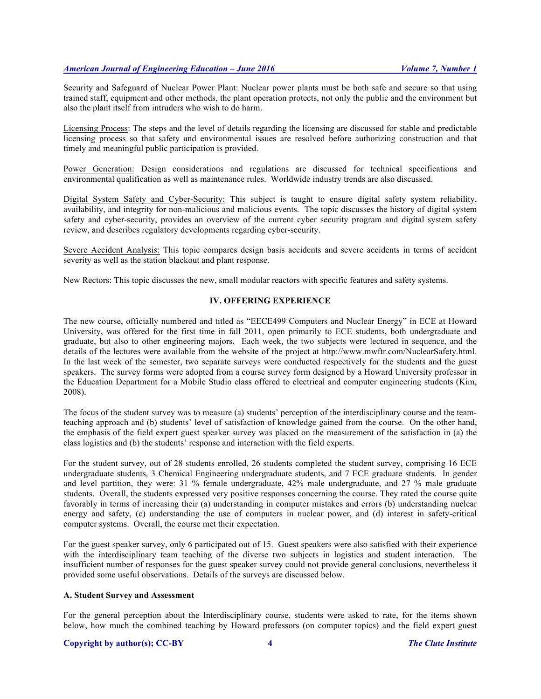# *American Journal of Engineering Education – June 2016 Volume 7, Number 1*

Security and Safeguard of Nuclear Power Plant: Nuclear power plants must be both safe and secure so that using trained staff, equipment and other methods, the plant operation protects, not only the public and the environment but also the plant itself from intruders who wish to do harm.

Licensing Process: The steps and the level of details regarding the licensing are discussed for stable and predictable licensing process so that safety and environmental issues are resolved before authorizing construction and that timely and meaningful public participation is provided.

Power Generation: Design considerations and regulations are discussed for technical specifications and environmental qualification as well as maintenance rules. Worldwide industry trends are also discussed.

Digital System Safety and Cyber-Security: This subject is taught to ensure digital safety system reliability, availability, and integrity for non-malicious and malicious events. The topic discusses the history of digital system safety and cyber-security, provides an overview of the current cyber security program and digital system safety review, and describes regulatory developments regarding cyber-security.

Severe Accident Analysis: This topic compares design basis accidents and severe accidents in terms of accident severity as well as the station blackout and plant response.

New Rectors: This topic discusses the new, small modular reactors with specific features and safety systems.

#### **IV. OFFERING EXPERIENCE**

The new course, officially numbered and titled as "EECE499 Computers and Nuclear Energy" in ECE at Howard University, was offered for the first time in fall 2011, open primarily to ECE students, both undergraduate and graduate, but also to other engineering majors. Each week, the two subjects were lectured in sequence, and the details of the lectures were available from the website of the project at http://www.mwftr.com/NuclearSafety.html. In the last week of the semester, two separate surveys were conducted respectively for the students and the guest speakers. The survey forms were adopted from a course survey form designed by a Howard University professor in the Education Department for a Mobile Studio class offered to electrical and computer engineering students (Kim, 2008).

The focus of the student survey was to measure (a) students' perception of the interdisciplinary course and the teamteaching approach and (b) students' level of satisfaction of knowledge gained from the course. On the other hand, the emphasis of the field expert guest speaker survey was placed on the measurement of the satisfaction in (a) the class logistics and (b) the students' response and interaction with the field experts.

For the student survey, out of 28 students enrolled, 26 students completed the student survey, comprising 16 ECE undergraduate students, 3 Chemical Engineering undergraduate students, and 7 ECE graduate students. In gender and level partition, they were: 31 % female undergraduate, 42% male undergraduate, and 27 % male graduate students. Overall, the students expressed very positive responses concerning the course. They rated the course quite favorably in terms of increasing their (a) understanding in computer mistakes and errors (b) understanding nuclear energy and safety, (c) understanding the use of computers in nuclear power, and (d) interest in safety-critical computer systems. Overall, the course met their expectation.

For the guest speaker survey, only 6 participated out of 15. Guest speakers were also satisfied with their experience with the interdisciplinary team teaching of the diverse two subjects in logistics and student interaction. The insufficient number of responses for the guest speaker survey could not provide general conclusions, nevertheless it provided some useful observations. Details of the surveys are discussed below.

#### **A. Student Survey and Assessment**

For the general perception about the Interdisciplinary course, students were asked to rate, for the items shown below, how much the combined teaching by Howard professors (on computer topics) and the field expert guest

#### **Copyright by author(s); CC-BY 4** *The Clute Institute*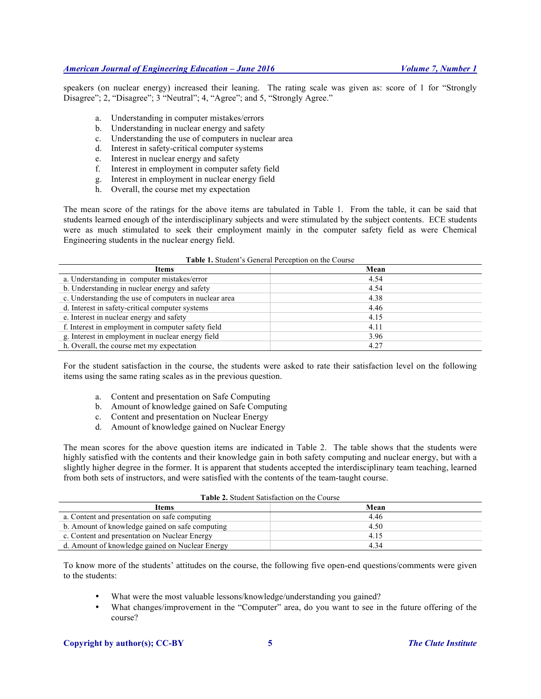speakers (on nuclear energy) increased their leaning. The rating scale was given as: score of 1 for "Strongly Disagree"; 2, "Disagree"; 3 "Neutral"; 4, "Agree"; and 5, "Strongly Agree."

- a. Understanding in computer mistakes/errors
- b. Understanding in nuclear energy and safety
- c. Understanding the use of computers in nuclear area
- d. Interest in safety-critical computer systems
- e. Interest in nuclear energy and safety
- f. Interest in employment in computer safety field
- g. Interest in employment in nuclear energy field
- h. Overall, the course met my expectation

The mean score of the ratings for the above items are tabulated in Table 1. From the table, it can be said that students learned enough of the interdisciplinary subjects and were stimulated by the subject contents. ECE students were as much stimulated to seek their employment mainly in the computer safety field as were Chemical Engineering students in the nuclear energy field.

| <b>rable 1.</b> Student S General I eleeption on the Course |      |  |
|-------------------------------------------------------------|------|--|
| Items                                                       | Mean |  |
| a. Understanding in computer mistakes/error                 | 4.54 |  |
| b. Understanding in nuclear energy and safety               | 4.54 |  |
| c. Understanding the use of computers in nuclear area       | 4.38 |  |
| d. Interest in safety-critical computer systems             | 4.46 |  |
| e. Interest in nuclear energy and safety                    | 4.15 |  |
| f. Interest in employment in computer safety field          | 4.11 |  |
| g. Interest in employment in nuclear energy field           | 3.96 |  |
| h. Overall, the course met my expectation                   | 4.27 |  |

**Table 1.** Student's General Perception on the Course

For the student satisfaction in the course, the students were asked to rate their satisfaction level on the following items using the same rating scales as in the previous question.

- a. Content and presentation on Safe Computing
- b. Amount of knowledge gained on Safe Computing
- c. Content and presentation on Nuclear Energy
- d. Amount of knowledge gained on Nuclear Energy

The mean scores for the above question items are indicated in Table 2. The table shows that the students were highly satisfied with the contents and their knowledge gain in both safety computing and nuclear energy, but with a slightly higher degree in the former. It is apparent that students accepted the interdisciplinary team teaching, learned from both sets of instructors, and were satisfied with the contents of the team-taught course.

| <b>Table 2.</b> Student Satisfaction on the Course |      |  |
|----------------------------------------------------|------|--|
| Items                                              | Mean |  |
| a. Content and presentation on safe computing      | 4.46 |  |
| b. Amount of knowledge gained on safe computing    | 4.50 |  |
| c. Content and presentation on Nuclear Energy      | 4.15 |  |
| d. Amount of knowledge gained on Nuclear Energy    | 4.34 |  |

To know more of the students' attitudes on the course, the following five open-end questions/comments were given to the students:

- What were the most valuable lessons/knowledge/understanding you gained?
- What changes/improvement in the "Computer" area, do you want to see in the future offering of the course?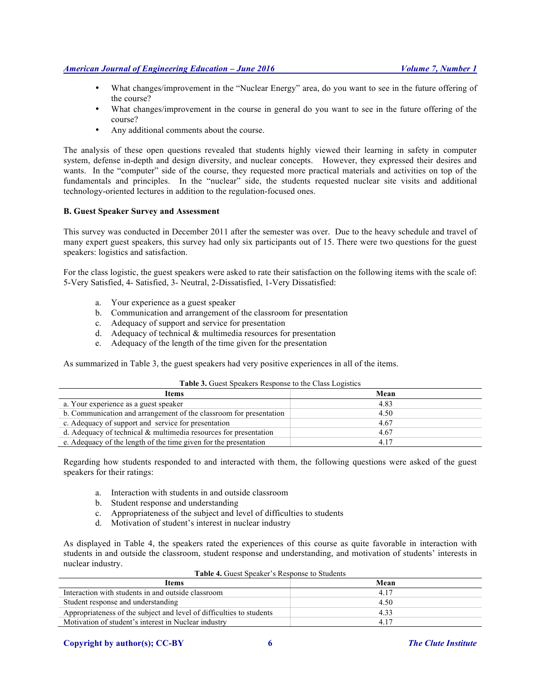# *American Journal of Engineering Education – June 2016 Volume 7, Number 1*

- What changes/improvement in the "Nuclear Energy" area, do you want to see in the future offering of the course?
- What changes/improvement in the course in general do you want to see in the future offering of the course?
- Any additional comments about the course.

The analysis of these open questions revealed that students highly viewed their learning in safety in computer system, defense in-depth and design diversity, and nuclear concepts. However, they expressed their desires and wants. In the "computer" side of the course, they requested more practical materials and activities on top of the fundamentals and principles. In the "nuclear" side, the students requested nuclear site visits and additional technology-oriented lectures in addition to the regulation-focused ones.

#### **B. Guest Speaker Survey and Assessment**

This survey was conducted in December 2011 after the semester was over. Due to the heavy schedule and travel of many expert guest speakers, this survey had only six participants out of 15. There were two questions for the guest speakers: logistics and satisfaction.

For the class logistic, the guest speakers were asked to rate their satisfaction on the following items with the scale of: 5-Very Satisfied, 4- Satisfied, 3- Neutral, 2-Dissatisfied, 1-Very Dissatisfied:

- a. Your experience as a guest speaker
- b. Communication and arrangement of the classroom for presentation
- c. Adequacy of support and service for presentation
- d. Adequacy of technical & multimedia resources for presentation
- e. Adequacy of the length of the time given for the presentation

As summarized in Table 3, the guest speakers had very positive experiences in all of the items.

| Items                                                               | Mean  |  |
|---------------------------------------------------------------------|-------|--|
| a. Your experience as a guest speaker                               | 4.83  |  |
| b. Communication and arrangement of the classroom for presentation  | 4.50  |  |
| c. Adequacy of support and service for presentation                 | 4.67  |  |
| d. Adequacy of technical $\&$ multimedia resources for presentation | 4.67  |  |
| e. Adequacy of the length of the time given for the presentation    | 4 1 7 |  |
|                                                                     |       |  |

#### **Table 3.** Guest Speakers Response to the Class Logistics

Regarding how students responded to and interacted with them, the following questions were asked of the guest speakers for their ratings:

- a. Interaction with students in and outside classroom
- b. Student response and understanding
- c. Appropriateness of the subject and level of difficulties to students
- d. Motivation of student's interest in nuclear industry

As displayed in Table 4, the speakers rated the experiences of this course as quite favorable in interaction with students in and outside the classroom, student response and understanding, and motivation of students' interests in nuclear industry.

| <b>Items</b>                                                         | Mean  |
|----------------------------------------------------------------------|-------|
| Interaction with students in and outside classroom                   | 4 1 7 |
| Student response and understanding                                   | 4.50  |
| Appropriateness of the subject and level of difficulties to students | 433   |
| Motivation of student's interest in Nuclear industry                 | 417   |

#### **Table 4.** Guest Speaker's Response to Students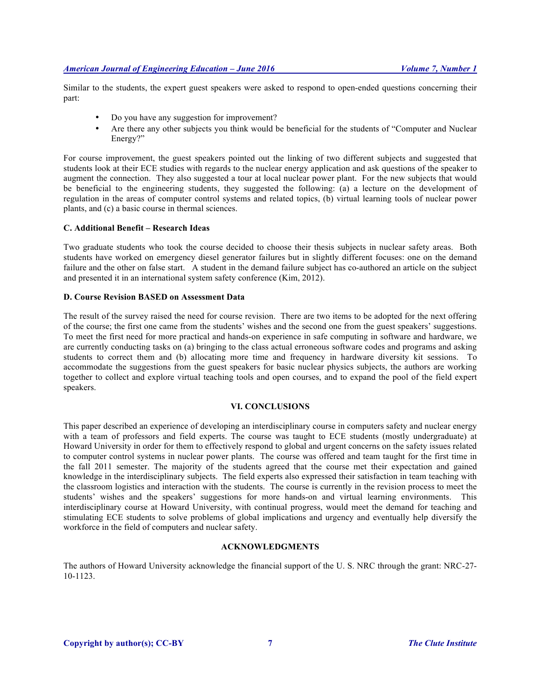Similar to the students, the expert guest speakers were asked to respond to open-ended questions concerning their part:

- Do you have any suggestion for improvement?
- Are there any other subjects you think would be beneficial for the students of "Computer and Nuclear Energy?"

For course improvement, the guest speakers pointed out the linking of two different subjects and suggested that students look at their ECE studies with regards to the nuclear energy application and ask questions of the speaker to augment the connection. They also suggested a tour at local nuclear power plant. For the new subjects that would be beneficial to the engineering students, they suggested the following: (a) a lecture on the development of regulation in the areas of computer control systems and related topics, (b) virtual learning tools of nuclear power plants, and (c) a basic course in thermal sciences.

#### **C. Additional Benefit – Research Ideas**

Two graduate students who took the course decided to choose their thesis subjects in nuclear safety areas. Both students have worked on emergency diesel generator failures but in slightly different focuses: one on the demand failure and the other on false start. A student in the demand failure subject has co-authored an article on the subject and presented it in an international system safety conference (Kim, 2012).

### **D. Course Revision BASED on Assessment Data**

The result of the survey raised the need for course revision. There are two items to be adopted for the next offering of the course; the first one came from the students' wishes and the second one from the guest speakers' suggestions. To meet the first need for more practical and hands-on experience in safe computing in software and hardware, we are currently conducting tasks on (a) bringing to the class actual erroneous software codes and programs and asking students to correct them and (b) allocating more time and frequency in hardware diversity kit sessions. To accommodate the suggestions from the guest speakers for basic nuclear physics subjects, the authors are working together to collect and explore virtual teaching tools and open courses, and to expand the pool of the field expert speakers.

# **VI. CONCLUSIONS**

This paper described an experience of developing an interdisciplinary course in computers safety and nuclear energy with a team of professors and field experts. The course was taught to ECE students (mostly undergraduate) at Howard University in order for them to effectively respond to global and urgent concerns on the safety issues related to computer control systems in nuclear power plants. The course was offered and team taught for the first time in the fall 2011 semester. The majority of the students agreed that the course met their expectation and gained knowledge in the interdisciplinary subjects. The field experts also expressed their satisfaction in team teaching with the classroom logistics and interaction with the students. The course is currently in the revision process to meet the students' wishes and the speakers' suggestions for more hands-on and virtual learning environments. This interdisciplinary course at Howard University, with continual progress, would meet the demand for teaching and stimulating ECE students to solve problems of global implications and urgency and eventually help diversify the workforce in the field of computers and nuclear safety.

# **ACKNOWLEDGMENTS**

The authors of Howard University acknowledge the financial support of the U. S. NRC through the grant: NRC-27- 10-1123.